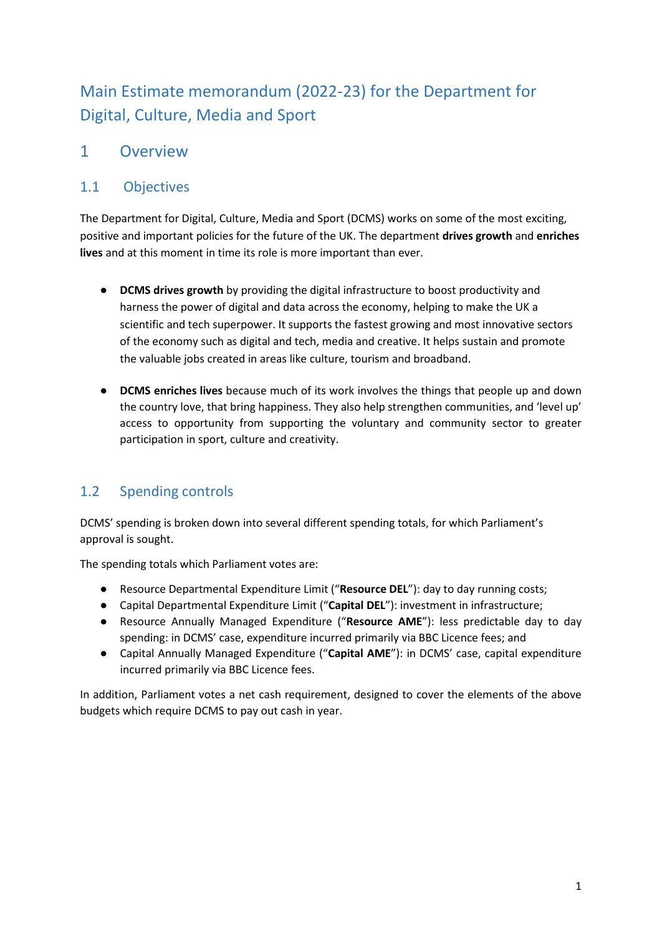# Main Estimate memorandum (2022-23) for the Department for Digital, Culture, Media and Sport

## 1 Overview

## 1.1 Objectives

The Department for Digital, Culture, Media and Sport (DCMS) works on some of the most exciting, positive and important policies for the future of the UK. The department **drives growth** and **enriches lives** and at this moment in time its role is more important than ever.

- **DCMS drives growth** by providing the digital infrastructure to boost productivity and harness the power of digital and data across the economy, helping to make the UK a scientific and tech superpower. It supports the fastest growing and most innovative sectors of the economy such as digital and tech, media and creative. It helps sustain and promote the valuable jobs created in areas like culture, tourism and broadband.
- **DCMS enriches lives** because much of its work involves the things that people up and down the country love, that bring happiness. They also help strengthen communities, and 'level up' access to opportunity from supporting the voluntary and community sector to greater participation in sport, culture and creativity.

## 1.2 Spending controls

DCMS' spending is broken down into several different spending totals, for which Parliament's approval is sought.

The spending totals which Parliament votes are:

- Resource Departmental Expenditure Limit ("**Resource DEL**"): day to day running costs;
- Capital Departmental Expenditure Limit ("**Capital DEL**"): investment in infrastructure;
- Resource Annually Managed Expenditure ("**Resource AME**"): less predictable day to day spending: in DCMS' case, expenditure incurred primarily via BBC Licence fees; and
- Capital Annually Managed Expenditure ("**Capital AME**"): in DCMS' case, capital expenditure incurred primarily via BBC Licence fees.

In addition, Parliament votes a net cash requirement, designed to cover the elements of the above budgets which require DCMS to pay out cash in year.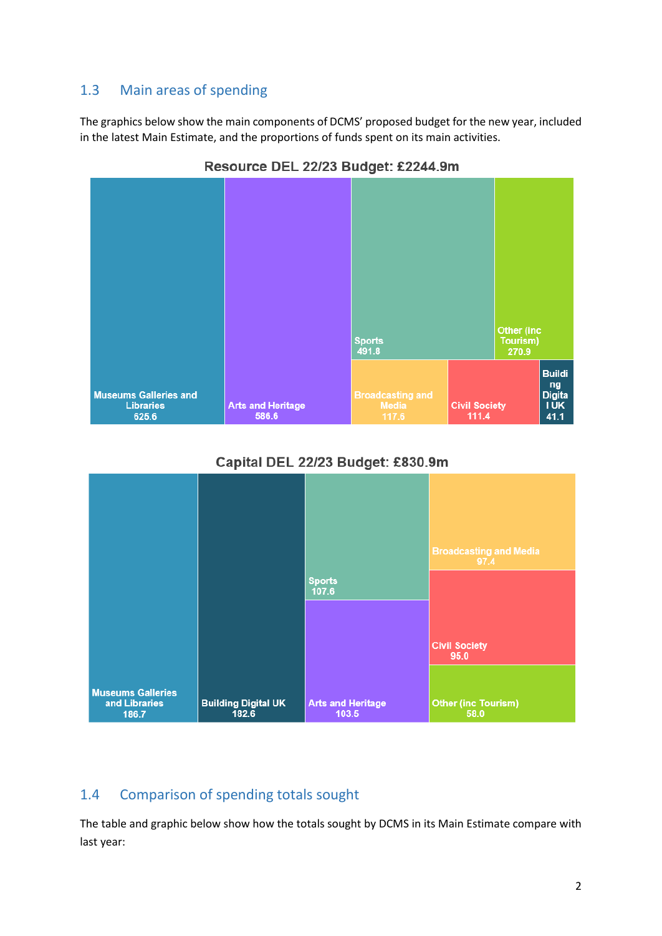### 1.3 Main areas of spending

The graphics below show the main components of DCMS' proposed budget for the new year, included in the latest Main Estimate, and the proportions of funds spent on its main activities.



Resource DEL 22/23 Budget: £2244.9m





## 1.4 Comparison of spending totals sought

The table and graphic below show how the totals sought by DCMS in its Main Estimate compare with last year: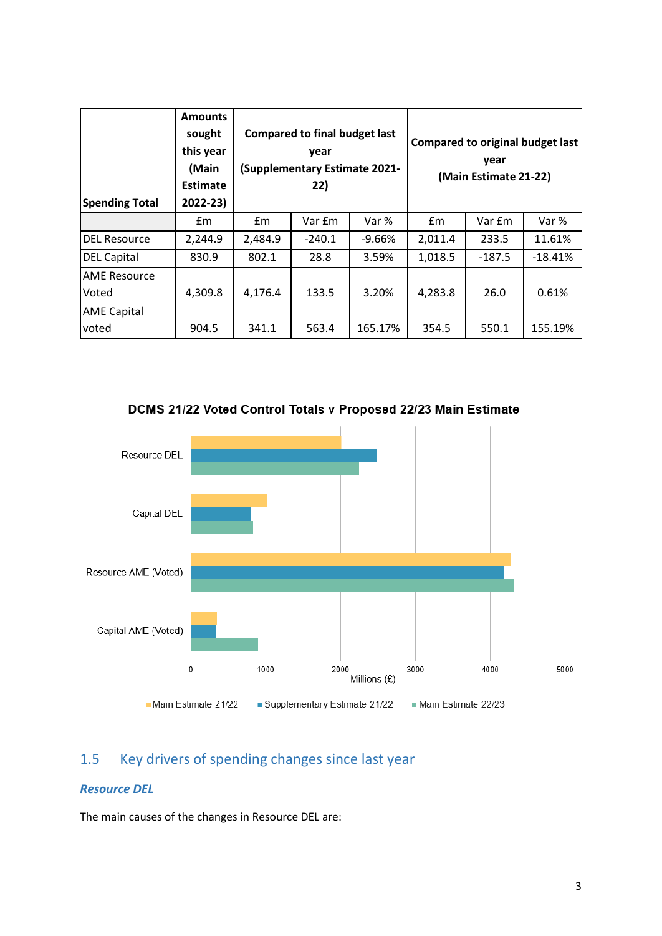| <b>Spending Total</b> | <b>Amounts</b><br>sought<br>this year<br>(Main<br><b>Estimate</b><br>2022-23) |         | <b>Compared to final budget last</b><br>year<br>(Supplementary Estimate 2021-<br>22) |          |         | <b>Compared to original budget last</b><br>vear<br>(Main Estimate 21-22) |           |
|-----------------------|-------------------------------------------------------------------------------|---------|--------------------------------------------------------------------------------------|----------|---------|--------------------------------------------------------------------------|-----------|
|                       | £m                                                                            | Em      | Var £m                                                                               | Var %    | Em      | Var £m                                                                   | Var %     |
| <b>DEL Resource</b>   | 2,244.9                                                                       | 2,484.9 | $-240.1$                                                                             | $-9.66%$ | 2,011.4 | 233.5                                                                    | 11.61%    |
| <b>DEL Capital</b>    | 830.9                                                                         | 802.1   | 28.8                                                                                 | 3.59%    | 1,018.5 | $-187.5$                                                                 | $-18.41%$ |
| <b>AME Resource</b>   |                                                                               |         |                                                                                      |          |         |                                                                          |           |
| Voted                 | 4,309.8                                                                       | 4,176.4 | 133.5                                                                                | 3.20%    | 4,283.8 | 26.0                                                                     | 0.61%     |
| <b>AME Capital</b>    |                                                                               |         |                                                                                      |          |         |                                                                          |           |
| voted                 | 904.5                                                                         | 341.1   | 563.4                                                                                | 165.17%  | 354.5   | 550.1                                                                    | 155.19%   |

Resource DEL Capital DEL Resource AME (Voted) Capital AME (Voted)  $\pmb{0}$ 1000 2000 3000 4000 5000 Millions (£) Main Estimate 21/22 Supplementary Estimate 21/22 Main Estimate 22/23

DCMS 21/22 Voted Control Totals v Proposed 22/23 Main Estimate

## 1.5 Key drivers of spending changes since last year

#### *Resource DEL*

The main causes of the changes in Resource DEL are: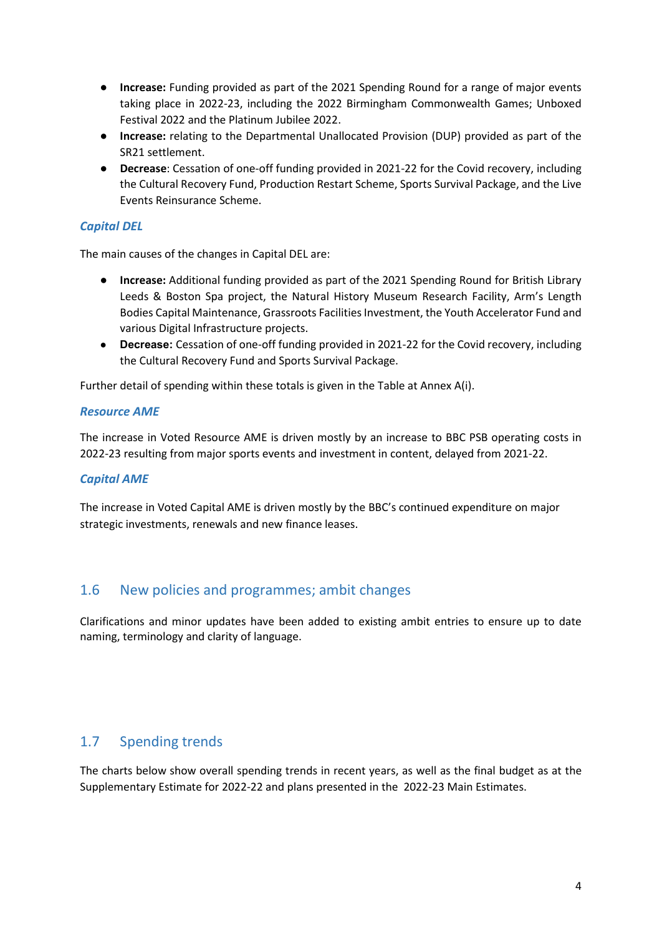- **Increase:** Funding provided as part of the 2021 Spending Round for a range of major events taking place in 2022-23, including the 2022 Birmingham Commonwealth Games; Unboxed Festival 2022 and the Platinum Jubilee 2022.
- **Increase:** relating to the Departmental Unallocated Provision (DUP) provided as part of the SR21 settlement.
- **Decrease**: Cessation of one-off funding provided in 2021-22 for the Covid recovery, including the Cultural Recovery Fund, Production Restart Scheme, Sports Survival Package, and the Live Events Reinsurance Scheme.

#### *Capital DEL*

The main causes of the changes in Capital DEL are:

- **Increase:** Additional funding provided as part of the 2021 Spending Round for British Library Leeds & Boston Spa project, the Natural History Museum Research Facility, Arm's Length Bodies Capital Maintenance, Grassroots Facilities Investment, the Youth Accelerator Fund and various Digital Infrastructure projects.
- **Decrease:** Cessation of one-off funding provided in 2021-22 for the Covid recovery, including the Cultural Recovery Fund and Sports Survival Package.

Further detail of spending within these totals is given in the Table at Annex A(i).

#### *Resource AME*

The increase in Voted Resource AME is driven mostly by an increase to BBC PSB operating costs in 2022-23 resulting from major sports events and investment in content, delayed from 2021-22.

#### *Capital AME*

The increase in Voted Capital AME is driven mostly by the BBC's continued expenditure on major strategic investments, renewals and new finance leases.

#### 1.6 New policies and programmes; ambit changes

Clarifications and minor updates have been added to existing ambit entries to ensure up to date naming, terminology and clarity of language.

### 1.7 Spending trends

The charts below show overall spending trends in recent years, as well as the final budget as at the Supplementary Estimate for 2022-22 and plans presented in the 2022-23 Main Estimates.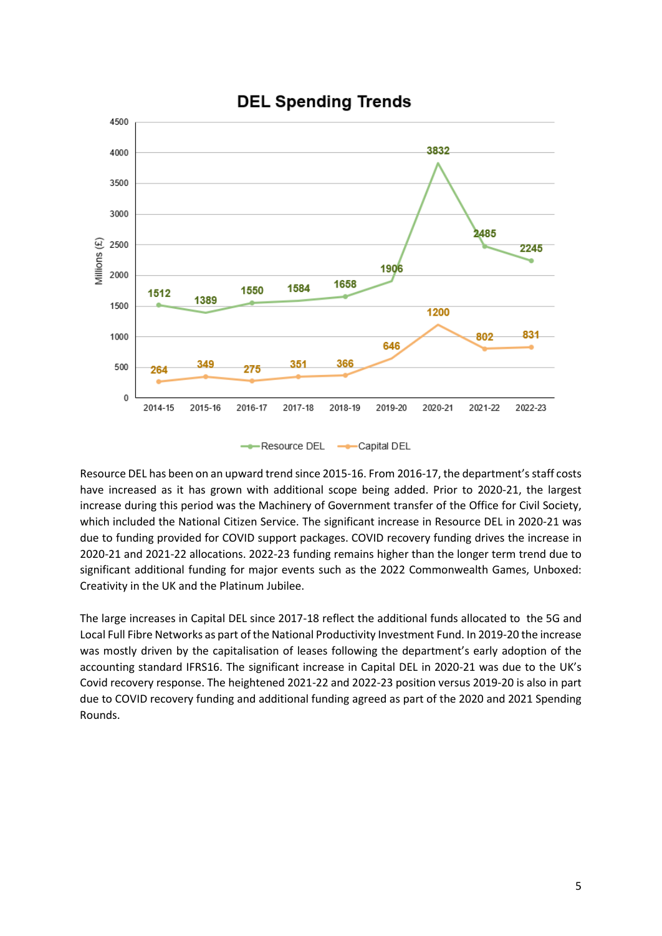

#### Resource DEL has been on an upward trend since 2015-16. From 2016-17, the department's staff costs have increased as it has grown with additional scope being added. Prior to 2020-21, the largest increase during this period was the Machinery of Government transfer of the Office for Civil Society, which included the National Citizen Service. The significant increase in Resource DEL in 2020-21 was due to funding provided for COVID support packages. COVID recovery funding drives the increase in 2020-21 and 2021-22 allocations. 2022-23 funding remains higher than the longer term trend due to significant additional funding for major events such as the 2022 Commonwealth Games, Unboxed: Creativity in the UK and the Platinum Jubilee.

The large increases in Capital DEL since 2017-18 reflect the additional funds allocated to the 5G and Local Full Fibre Networks as part of the National Productivity Investment Fund. In 2019-20 the increase was mostly driven by the capitalisation of leases following the department's early adoption of the accounting standard IFRS16. The significant increase in Capital DEL in 2020-21 was due to the UK's Covid recovery response. The heightened 2021-22 and 2022-23 position versus 2019-20 is also in part due to COVID recovery funding and additional funding agreed as part of the 2020 and 2021 Spending Rounds.

## **DEL Spending Trends**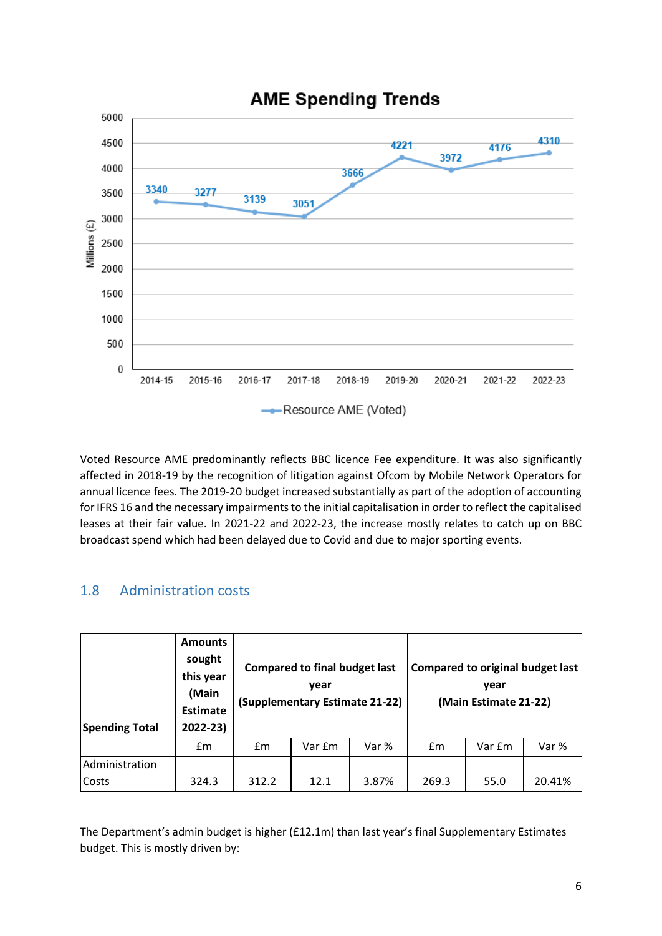

Voted Resource AME predominantly reflects BBC licence Fee expenditure. It was also significantly affected in 2018-19 by the recognition of litigation against Ofcom by Mobile Network Operators for annual licence fees. The 2019-20 budget increased substantially as part of the adoption of accounting for IFRS 16 and the necessary impairments to the initial capitalisation in order to reflect the capitalised leases at their fair value. In 2021-22 and 2022-23, the increase mostly relates to catch up on BBC broadcast spend which had been delayed due to Covid and due to major sporting events.

### 1.8 Administration costs

| <b>Spending Total</b> | <b>Amounts</b><br>sought<br>this year<br>(Main<br><b>Estimate</b><br>2022-23) |       | <b>Compared to final budget last</b><br>year<br>(Supplementary Estimate 21-22) |       |       | Compared to original budget last<br>vear<br>(Main Estimate 21-22) |        |  |
|-----------------------|-------------------------------------------------------------------------------|-------|--------------------------------------------------------------------------------|-------|-------|-------------------------------------------------------------------|--------|--|
|                       | £m                                                                            | fm    | Var £m                                                                         | Var % | Em    | Var £m                                                            | Var %  |  |
| Administration        |                                                                               |       |                                                                                |       |       |                                                                   |        |  |
| Costs                 | 324.3                                                                         | 312.2 | 12.1                                                                           | 3.87% | 269.3 | 55.0                                                              | 20.41% |  |

The Department's admin budget is higher (£12.1m) than last year's final Supplementary Estimates budget. This is mostly driven by: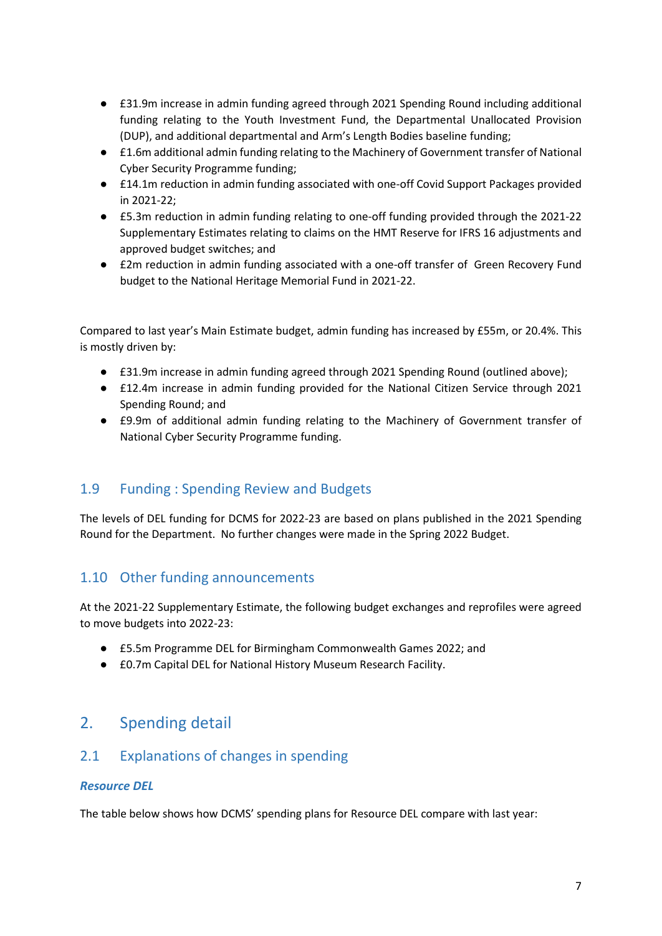- £31.9m increase in admin funding agreed through 2021 Spending Round including additional funding relating to the Youth Investment Fund, the Departmental Unallocated Provision (DUP), and additional departmental and Arm's Length Bodies baseline funding;
- **£1.6m additional admin funding relating to the Machinery of Government transfer of National** Cyber Security Programme funding;
- £14.1m reduction in admin funding associated with one-off Covid Support Packages provided in 2021-22;
- £5.3m reduction in admin funding relating to one-off funding provided through the 2021-22 Supplementary Estimates relating to claims on the HMT Reserve for IFRS 16 adjustments and approved budget switches; and
- £2m reduction in admin funding associated with a one-off transfer of Green Recovery Fund budget to the National Heritage Memorial Fund in 2021-22.

Compared to last year's Main Estimate budget, admin funding has increased by £55m, or 20.4%. This is mostly driven by:

- £31.9m increase in admin funding agreed through 2021 Spending Round (outlined above);
- £12.4m increase in admin funding provided for the National Citizen Service through 2021 Spending Round; and
- £9.9m of additional admin funding relating to the Machinery of Government transfer of National Cyber Security Programme funding.

### 1.9 Funding : Spending Review and Budgets

The levels of DEL funding for DCMS for 2022-23 are based on plans published in the 2021 Spending Round for the Department. No further changes were made in the Spring 2022 Budget.

### 1.10 Other funding announcements

At the 2021-22 Supplementary Estimate, the following budget exchanges and reprofiles were agreed to move budgets into 2022-23:

- £5.5m Programme DEL for Birmingham Commonwealth Games 2022; and
- **£0.7m Capital DEL for National History Museum Research Facility.**

## 2. Spending detail

### 2.1 Explanations of changes in spending

#### *Resource DEL*

The table below shows how DCMS' spending plans for Resource DEL compare with last year: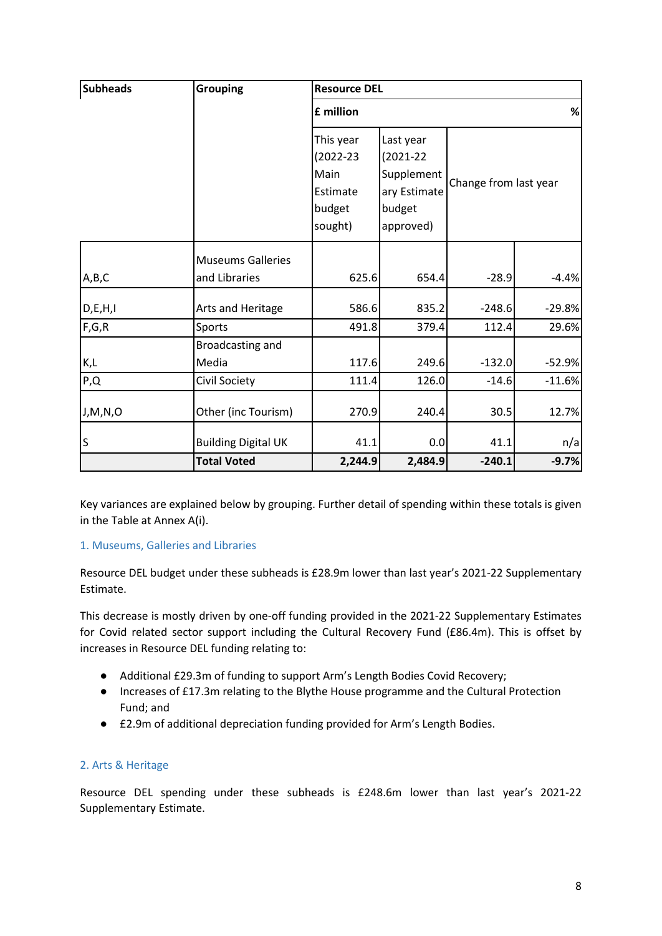| <b>Subheads</b> | <b>Grouping</b>                            | <b>Resource DEL</b>                                            |                                                                                 |                       |                      |  |  |  |
|-----------------|--------------------------------------------|----------------------------------------------------------------|---------------------------------------------------------------------------------|-----------------------|----------------------|--|--|--|
|                 |                                            | £ million                                                      |                                                                                 |                       | $\%$                 |  |  |  |
|                 |                                            | This year<br>(2022-23<br>Main<br>Estimate<br>budget<br>sought) | Last year<br>$(2021 - 22)$<br>Supplement<br>ary Estimate<br>budget<br>approved) | Change from last year |                      |  |  |  |
| A,B,C           | <b>Museums Galleries</b><br>and Libraries  | 625.6                                                          | 654.4                                                                           | $-28.9$               | $-4.4%$              |  |  |  |
| D, E, H, I      | Arts and Heritage                          | 586.6                                                          | 835.2                                                                           | $-248.6$              | $-29.8%$             |  |  |  |
| F,G,R           | Sports                                     | 491.8                                                          | 379.4                                                                           | 112.4                 | 29.6%                |  |  |  |
| K,L<br>P,Q      | Broadcasting and<br>Media<br>Civil Society | 117.6<br>111.4                                                 | 249.6<br>126.0                                                                  | $-132.0$<br>$-14.6$   | $-52.9%$<br>$-11.6%$ |  |  |  |
| J, M, N, O      | Other (inc Tourism)                        | 270.9                                                          | 240.4                                                                           | 30.5                  | 12.7%                |  |  |  |
| S               | <b>Building Digital UK</b>                 | 41.1                                                           | 0.0                                                                             | 41.1                  | n/a                  |  |  |  |
|                 | <b>Total Voted</b>                         | 2,244.9                                                        | 2,484.9                                                                         | $-240.1$              | $-9.7%$              |  |  |  |

Key variances are explained below by grouping. Further detail of spending within these totals is given in the Table at Annex A(i).

#### 1. Museums, Galleries and Libraries

Resource DEL budget under these subheads is £28.9m lower than last year's 2021-22 Supplementary Estimate.

This decrease is mostly driven by one-off funding provided in the 2021-22 Supplementary Estimates for Covid related sector support including the Cultural Recovery Fund (£86.4m). This is offset by increases in Resource DEL funding relating to:

- Additional £29.3m of funding to support Arm's Length Bodies Covid Recovery;
- Increases of £17.3m relating to the Blythe House programme and the Cultural Protection Fund; and
- £2.9m of additional depreciation funding provided for Arm's Length Bodies.

#### 2. Arts & Heritage

Resource DEL spending under these subheads is £248.6m lower than last year's 2021-22 Supplementary Estimate.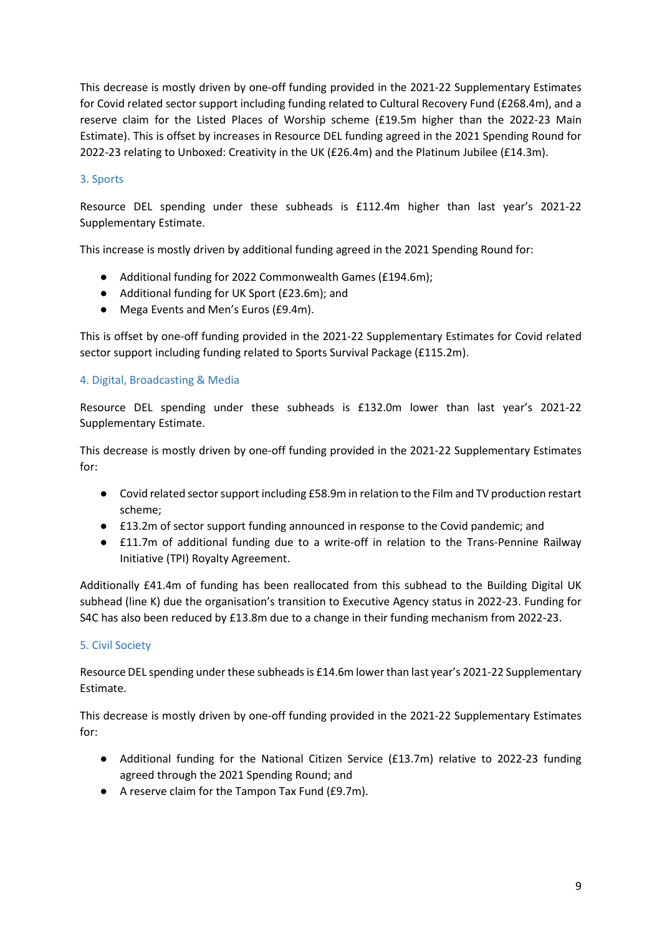This decrease is mostly driven by one-off funding provided in the 2021-22 Supplementary Estimates for Covid related sector support including funding related to Cultural Recovery Fund (£268.4m), and a reserve claim for the Listed Places of Worship scheme (£19.5m higher than the 2022-23 Main Estimate). This is offset by increases in Resource DEL funding agreed in the 2021 Spending Round for 2022-23 relating to Unboxed: Creativity in the UK (£26.4m) and the Platinum Jubilee (£14.3m).

#### 3. Sports

Resource DEL spending under these subheads is £112.4m higher than last year's 2021-22 Supplementary Estimate.

This increase is mostly driven by additional funding agreed in the 2021 Spending Round for:

- Additional funding for 2022 Commonwealth Games (£194.6m);
- Additional funding for UK Sport (£23.6m); and
- Mega Events and Men's Euros (£9.4m).

This is offset by one-off funding provided in the 2021-22 Supplementary Estimates for Covid related sector support including funding related to Sports Survival Package (£115.2m).

#### 4. Digital, Broadcasting & Media

Resource DEL spending under these subheads is £132.0m lower than last year's 2021-22 Supplementary Estimate.

This decrease is mostly driven by one-off funding provided in the 2021-22 Supplementary Estimates for:

- Covid related sector support including £58.9m in relation to the Film and TV production restart scheme;
- £13.2m of sector support funding announced in response to the Covid pandemic; and
- £11.7m of additional funding due to a write-off in relation to the Trans-Pennine Railway Initiative (TPI) Royalty Agreement.

Additionally £41.4m of funding has been reallocated from this subhead to the Building Digital UK subhead (line K) due the organisation's transition to Executive Agency status in 2022-23. Funding for S4C has also been reduced by £13.8m due to a change in their funding mechanism from 2022-23.

#### 5. Civil Society

Resource DEL spending under these subheads is £14.6m lower than last year's 2021-22 Supplementary Estimate.

This decrease is mostly driven by one-off funding provided in the 2021-22 Supplementary Estimates for:

- Additional funding for the National Citizen Service (£13.7m) relative to 2022-23 funding agreed through the 2021 Spending Round; and
- A reserve claim for the Tampon Tax Fund (£9.7m).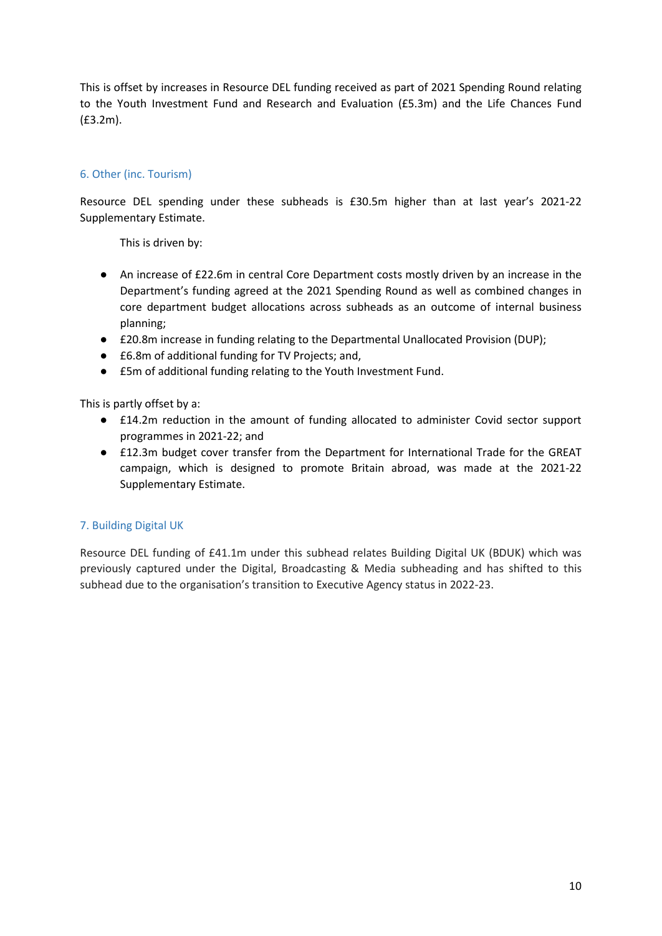This is offset by increases in Resource DEL funding received as part of 2021 Spending Round relating to the Youth Investment Fund and Research and Evaluation (£5.3m) and the Life Chances Fund (£3.2m).

#### 6. Other (inc. Tourism)

Resource DEL spending under these subheads is £30.5m higher than at last year's 2021-22 Supplementary Estimate.

This is driven by:

- An increase of £22.6m in central Core Department costs mostly driven by an increase in the Department's funding agreed at the 2021 Spending Round as well as combined changes in core department budget allocations across subheads as an outcome of internal business planning;
- £20.8m increase in funding relating to the Departmental Unallocated Provision (DUP);
- £6.8m of additional funding for TV Projects; and,
- £5m of additional funding relating to the Youth Investment Fund.

This is partly offset by a:

- £14.2m reduction in the amount of funding allocated to administer Covid sector support programmes in 2021-22; and
- £12.3m budget cover transfer from the Department for International Trade for the GREAT campaign, which is designed to promote Britain abroad, was made at the 2021-22 Supplementary Estimate.

#### 7. Building Digital UK

Resource DEL funding of £41.1m under this subhead relates Building Digital UK (BDUK) which was previously captured under the Digital, Broadcasting & Media subheading and has shifted to this subhead due to the organisation's transition to Executive Agency status in 2022-23.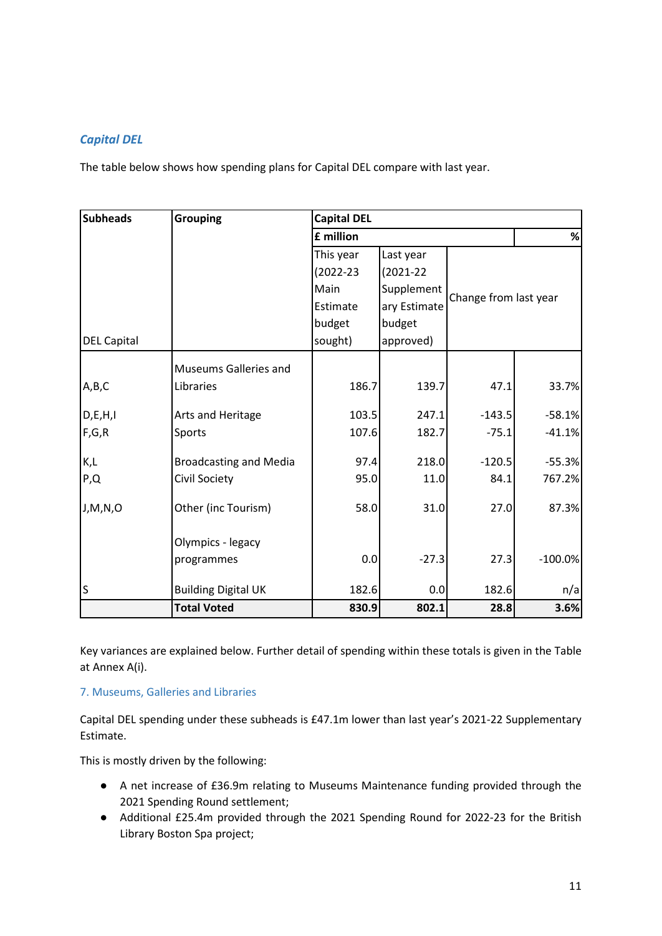#### *Capital DEL*

The table below shows how spending plans for Capital DEL compare with last year.

| <b>Subheads</b>    | <b>Grouping</b>               | <b>Capital DEL</b> |               |                       |           |
|--------------------|-------------------------------|--------------------|---------------|-----------------------|-----------|
|                    |                               | £ million          |               |                       | $\%$      |
|                    |                               | This year          | Last year     |                       |           |
|                    |                               | $(2022 - 23)$      | $(2021 - 22)$ |                       |           |
|                    |                               | Supplement<br>Main |               |                       |           |
|                    |                               | Estimate           | ary Estimate  | Change from last year |           |
|                    |                               | budget             | budget        |                       |           |
| <b>DEL Capital</b> |                               | sought)            | approved)     |                       |           |
|                    | <b>Museums Galleries and</b>  |                    |               |                       |           |
| A,B,C              | Libraries                     | 186.7              | 139.7         | 47.1                  | 33.7%     |
| D, E, H, I         | Arts and Heritage             | 103.5              | 247.1         | $-143.5$              | $-58.1%$  |
| F,G,R              | Sports                        | 107.6              | 182.7         | $-75.1$               | $-41.1%$  |
| K,L                | <b>Broadcasting and Media</b> | 97.4               | 218.0         | $-120.5$              | $-55.3%$  |
| P,Q                | Civil Society                 | 95.0               | 11.0          | 84.1                  | 767.2%    |
| J,M,N,O            | Other (inc Tourism)           | 58.0               | 31.0          | 27.0                  | 87.3%     |
|                    | Olympics - legacy             |                    |               |                       |           |
|                    | programmes                    | 0.0                | $-27.3$       | 27.3                  | $-100.0%$ |
| S                  | <b>Building Digital UK</b>    | 182.6              | 0.0           | 182.6                 | n/a       |
|                    | <b>Total Voted</b>            | 830.9              | 802.1         | 28.8                  | 3.6%      |

Key variances are explained below. Further detail of spending within these totals is given in the Table at Annex A(i).

#### 7. Museums, Galleries and Libraries

Capital DEL spending under these subheads is £47.1m lower than last year's 2021-22 Supplementary Estimate.

This is mostly driven by the following:

- A net increase of £36.9m relating to Museums Maintenance funding provided through the 2021 Spending Round settlement;
- Additional £25.4m provided through the 2021 Spending Round for 2022-23 for the British Library Boston Spa project;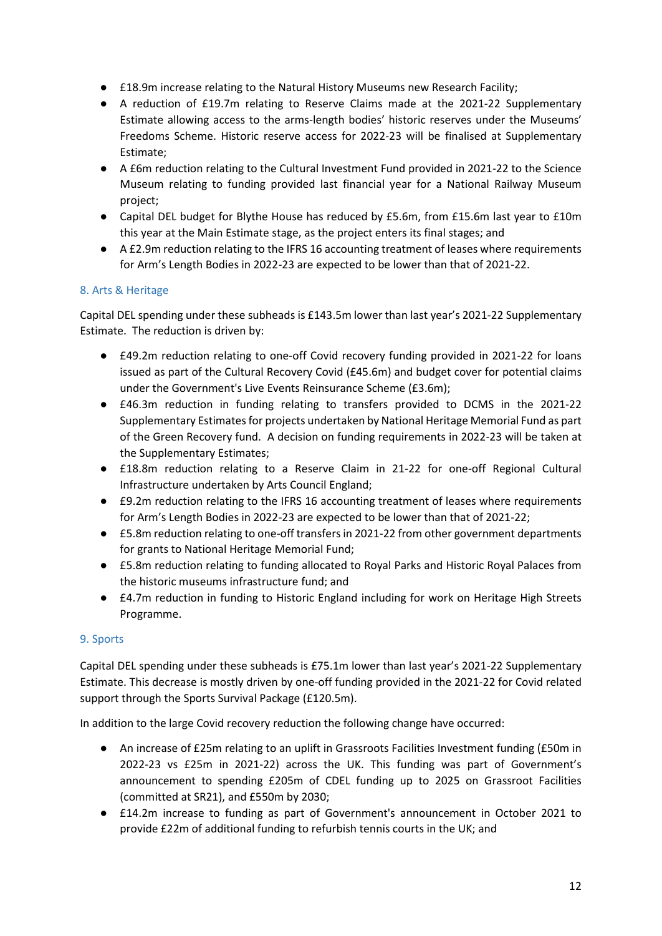- £18.9m increase relating to the Natural History Museums new Research Facility;
- A reduction of £19.7m relating to Reserve Claims made at the 2021-22 Supplementary Estimate allowing access to the arms-length bodies' historic reserves under the Museums' Freedoms Scheme. Historic reserve access for 2022-23 will be finalised at Supplementary Estimate;
- A £6m reduction relating to the Cultural Investment Fund provided in 2021-22 to the Science Museum relating to funding provided last financial year for a National Railway Museum project;
- Capital DEL budget for Blythe House has reduced by £5.6m, from £15.6m last year to £10m this year at the Main Estimate stage, as the project enters its final stages; and
- A £2.9m reduction relating to the IFRS 16 accounting treatment of leases where requirements for Arm's Length Bodies in 2022-23 are expected to be lower than that of 2021-22.

#### 8. Arts & Heritage

Capital DEL spending under these subheads is £143.5m lower than last year's 2021-22 Supplementary Estimate. The reduction is driven by:

- £49.2m reduction relating to one-off Covid recovery funding provided in 2021-22 for loans issued as part of the Cultural Recovery Covid (£45.6m) and budget cover for potential claims under the Government's Live Events Reinsurance Scheme (£3.6m);
- £46.3m reduction in funding relating to transfers provided to DCMS in the 2021-22 Supplementary Estimates for projects undertaken by National Heritage Memorial Fund as part of the Green Recovery fund. A decision on funding requirements in 2022-23 will be taken at the Supplementary Estimates;
- £18.8m reduction relating to a Reserve Claim in 21-22 for one-off Regional Cultural Infrastructure undertaken by Arts Council England;
- £9.2m reduction relating to the IFRS 16 accounting treatment of leases where requirements for Arm's Length Bodies in 2022-23 are expected to be lower than that of 2021-22;
- £5.8m reduction relating to one-off transfers in 2021-22 from other government departments for grants to National Heritage Memorial Fund;
- £5.8m reduction relating to funding allocated to Royal Parks and Historic Royal Palaces from the historic museums infrastructure fund; and
- £4.7m reduction in funding to Historic England including for work on Heritage High Streets Programme.

#### 9. Sports

Capital DEL spending under these subheads is £75.1m lower than last year's 2021-22 Supplementary Estimate. This decrease is mostly driven by one-off funding provided in the 2021-22 for Covid related support through the Sports Survival Package (£120.5m).

In addition to the large Covid recovery reduction the following change have occurred:

- An increase of £25m relating to an uplift in Grassroots Facilities Investment funding (£50m in 2022-23 vs £25m in 2021-22) across the UK. This funding was part of Government's announcement to spending £205m of CDEL funding up to 2025 on Grassroot Facilities (committed at SR21), and £550m by 2030;
- £14.2m increase to funding as part of Government's announcement in October 2021 to provide £22m of additional funding to refurbish tennis courts in the UK; and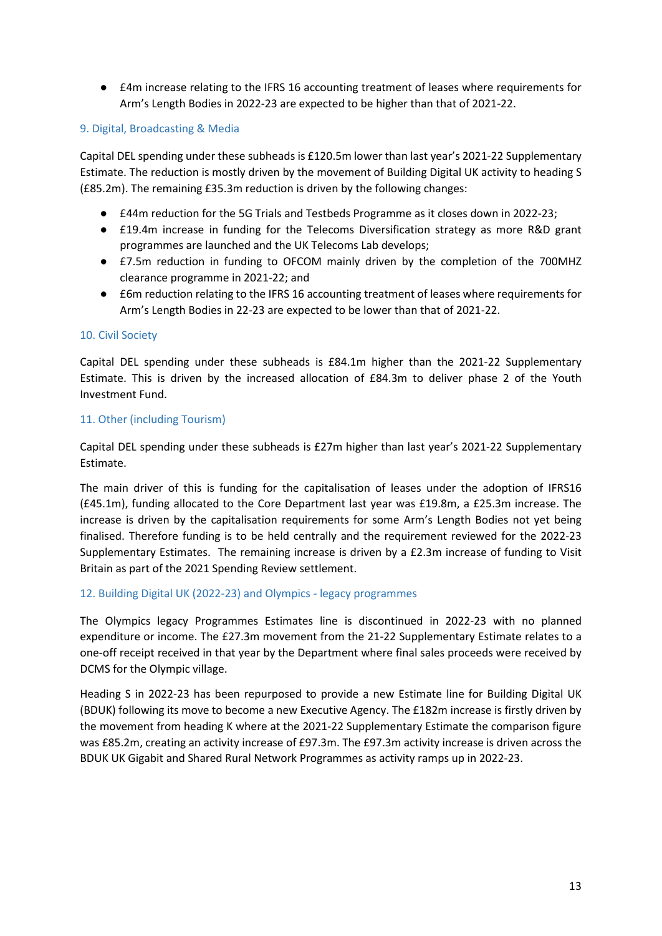● £4m increase relating to the IFRS 16 accounting treatment of leases where requirements for Arm's Length Bodies in 2022-23 are expected to be higher than that of 2021-22.

#### 9. Digital, Broadcasting & Media

Capital DEL spending under these subheads is £120.5m lower than last year's 2021-22 Supplementary Estimate. The reduction is mostly driven by the movement of Building Digital UK activity to heading S (£85.2m). The remaining £35.3m reduction is driven by the following changes:

- £44m reduction for the 5G Trials and Testbeds Programme as it closes down in 2022-23;
- £19.4m increase in funding for the Telecoms Diversification strategy as more R&D grant programmes are launched and the UK Telecoms Lab develops;
- £7.5m reduction in funding to OFCOM mainly driven by the completion of the 700MHZ clearance programme in 2021-22; and
- £6m reduction relating to the IFRS 16 accounting treatment of leases where requirements for Arm's Length Bodies in 22-23 are expected to be lower than that of 2021-22.

#### 10. Civil Society

Capital DEL spending under these subheads is £84.1m higher than the 2021-22 Supplementary Estimate. This is driven by the increased allocation of £84.3m to deliver phase 2 of the Youth Investment Fund.

#### 11. Other (including Tourism)

Capital DEL spending under these subheads is £27m higher than last year's 2021-22 Supplementary Estimate.

The main driver of this is funding for the capitalisation of leases under the adoption of IFRS16 (£45.1m), funding allocated to the Core Department last year was £19.8m, a £25.3m increase. The increase is driven by the capitalisation requirements for some Arm's Length Bodies not yet being finalised. Therefore funding is to be held centrally and the requirement reviewed for the 2022-23 Supplementary Estimates. The remaining increase is driven by a £2.3m increase of funding to Visit Britain as part of the 2021 Spending Review settlement.

#### 12. Building Digital UK (2022-23) and Olympics - legacy programmes

The Olympics legacy Programmes Estimates line is discontinued in 2022-23 with no planned expenditure or income. The £27.3m movement from the 21-22 Supplementary Estimate relates to a one-off receipt received in that year by the Department where final sales proceeds were received by DCMS for the Olympic village.

Heading S in 2022-23 has been repurposed to provide a new Estimate line for Building Digital UK (BDUK) following its move to become a new Executive Agency. The £182m increase is firstly driven by the movement from heading K where at the 2021-22 Supplementary Estimate the comparison figure was £85.2m, creating an activity increase of £97.3m. The £97.3m activity increase is driven across the BDUK UK Gigabit and Shared Rural Network Programmes as activity ramps up in 2022-23.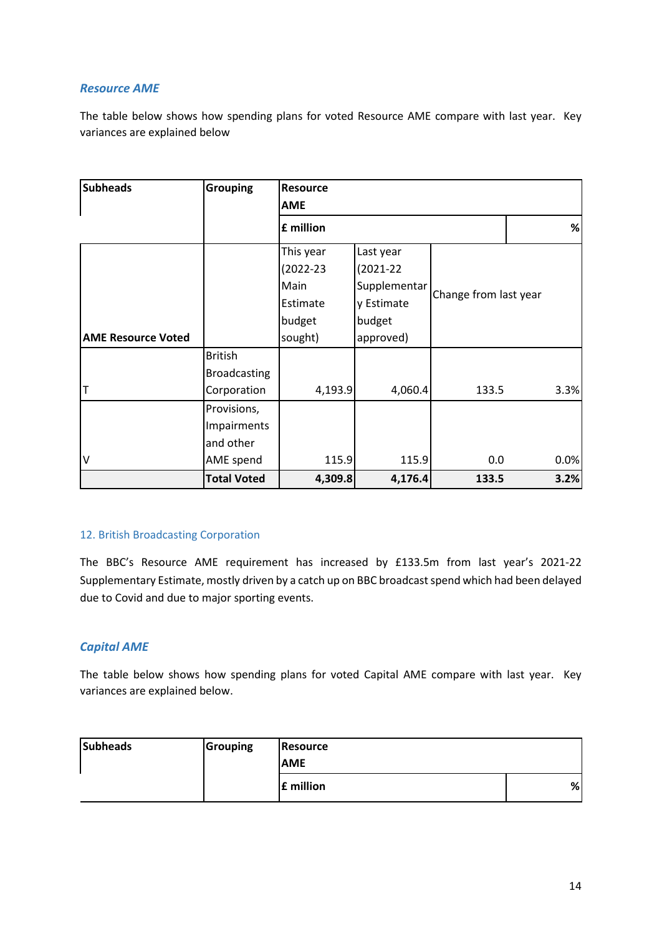#### *Resource AME*

The table below shows how spending plans for voted Resource AME compare with last year. Key variances are explained below

| <b>Subheads</b>           | <b>Grouping</b>     | <b>Resource</b> |               |                       |  |      |  |  |
|---------------------------|---------------------|-----------------|---------------|-----------------------|--|------|--|--|
|                           |                     | <b>AME</b>      |               |                       |  |      |  |  |
|                           |                     | £ million       |               |                       |  |      |  |  |
|                           |                     | This year       | Last year     |                       |  |      |  |  |
|                           |                     | $(2022 - 23)$   | $(2021 - 22)$ |                       |  |      |  |  |
|                           |                     | Main            | Supplementar  | Change from last year |  |      |  |  |
|                           |                     | Estimate        | y Estimate    |                       |  |      |  |  |
|                           |                     | budget          | budget        |                       |  |      |  |  |
| <b>AME Resource Voted</b> |                     | sought)         | approved)     |                       |  |      |  |  |
|                           | <b>British</b>      |                 |               |                       |  |      |  |  |
|                           | <b>Broadcasting</b> |                 |               |                       |  |      |  |  |
| т                         | Corporation         | 4,193.9         | 4,060.4       | 133.5                 |  | 3.3% |  |  |
|                           | Provisions,         |                 |               |                       |  |      |  |  |
|                           | Impairments         |                 |               |                       |  |      |  |  |
|                           | and other           |                 |               |                       |  |      |  |  |
| ٧                         | AME spend           | 115.9           | 115.9         | 0.0                   |  | 0.0% |  |  |
|                           | <b>Total Voted</b>  | 4,309.8         | 4,176.4       | 133.5                 |  | 3.2% |  |  |

#### 12. British Broadcasting Corporation

The BBC's Resource AME requirement has increased by £133.5m from last year's 2021-22 Supplementary Estimate, mostly driven by a catch up on BBC broadcast spend which had been delayed due to Covid and due to major sporting events.

#### *Capital AME*

The table below shows how spending plans for voted Capital AME compare with last year. Key variances are explained below.

| <b>Subheads</b> | Grouping | <b>Resource</b> |   |
|-----------------|----------|-----------------|---|
|                 |          | <b>AME</b>      |   |
|                 |          | £ million       | % |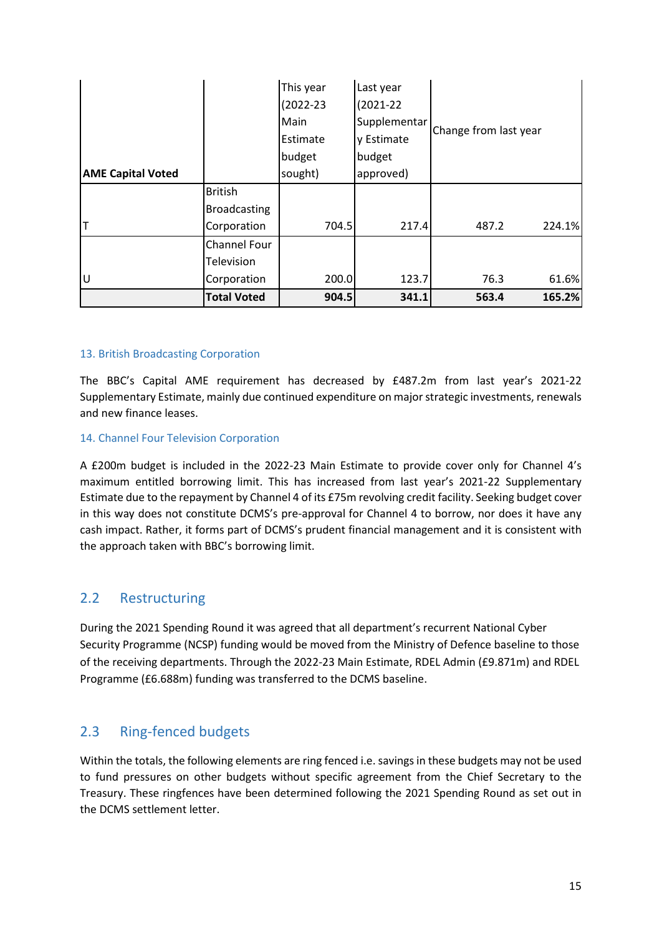|                          |                     | This year     | Last year     |                       |        |
|--------------------------|---------------------|---------------|---------------|-----------------------|--------|
|                          |                     | $(2022 - 23)$ | $(2021 - 22)$ |                       |        |
|                          |                     | Main          | Supplementar  | Change from last year |        |
|                          |                     | Estimate      | y Estimate    |                       |        |
|                          |                     | budget        | budget        |                       |        |
| <b>AME Capital Voted</b> |                     | sought)       | approved)     |                       |        |
|                          | <b>British</b>      |               |               |                       |        |
|                          | <b>Broadcasting</b> |               |               |                       |        |
|                          | Corporation         | 704.5         | 217.4         | 487.2                 | 224.1% |
|                          | Channel Four        |               |               |                       |        |
|                          | Television          |               |               |                       |        |
| U                        | Corporation         | 200.0         | 123.7         | 76.3                  | 61.6%  |
|                          | <b>Total Voted</b>  | 904.5         | 341.1         | 563.4                 | 165.2% |

#### 13. British Broadcasting Corporation

The BBC's Capital AME requirement has decreased by £487.2m from last year's 2021-22 Supplementary Estimate, mainly due continued expenditure on major strategic investments, renewals and new finance leases.

#### 14. Channel Four Television Corporation

A £200m budget is included in the 2022-23 Main Estimate to provide cover only for Channel 4's maximum entitled borrowing limit. This has increased from last year's 2021-22 Supplementary Estimate due to the repayment by Channel 4 of its £75m revolving credit facility. Seeking budget cover in this way does not constitute DCMS's pre-approval for Channel 4 to borrow, nor does it have any cash impact. Rather, it forms part of DCMS's prudent financial management and it is consistent with the approach taken with BBC's borrowing limit.

#### 2.2 Restructuring

During the 2021 Spending Round it was agreed that all department's recurrent National Cyber Security Programme (NCSP) funding would be moved from the Ministry of Defence baseline to those of the receiving departments. Through the 2022-23 Main Estimate, RDEL Admin (£9.871m) and RDEL Programme (£6.688m) funding was transferred to the DCMS baseline.

### 2.3 Ring-fenced budgets

Within the totals, the following elements are ring fenced i.e. savings in these budgets may not be used to fund pressures on other budgets without specific agreement from the Chief Secretary to the Treasury. These ringfences have been determined following the 2021 Spending Round as set out in the DCMS settlement letter.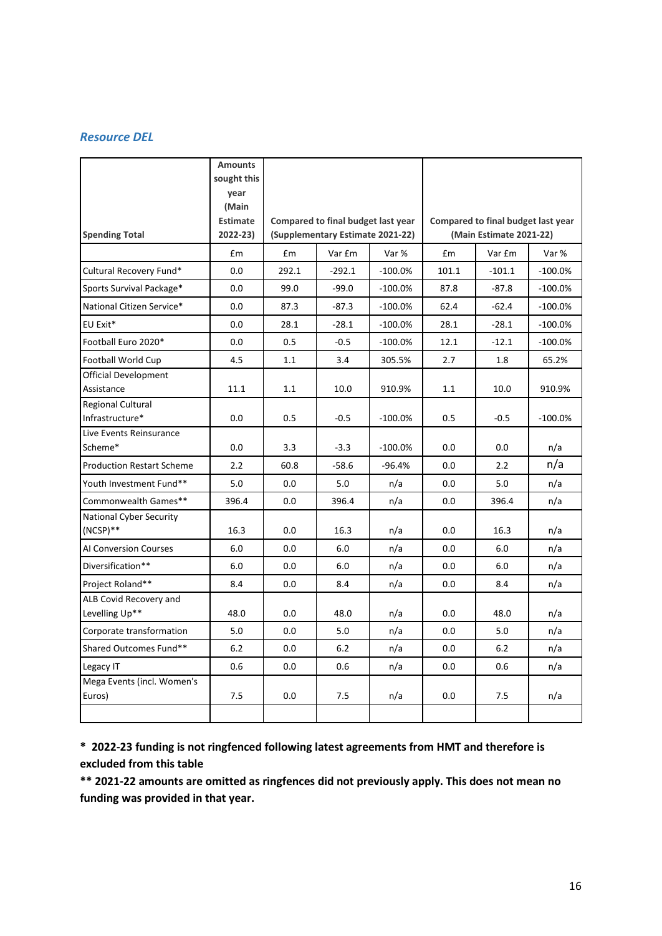#### *Resource DEL*

|                                            | <b>Amounts</b><br>sought this<br>year<br>(Main |                                                                        |          |           |                                                               |          |            |
|--------------------------------------------|------------------------------------------------|------------------------------------------------------------------------|----------|-----------|---------------------------------------------------------------|----------|------------|
| <b>Spending Total</b>                      | <b>Estimate</b><br>$2022 - 23$                 | Compared to final budget last year<br>(Supplementary Estimate 2021-22) |          |           | Compared to final budget last year<br>(Main Estimate 2021-22) |          |            |
|                                            | £m                                             | £m                                                                     | Var £m   | Var %     | £m                                                            | Var £m   | Var %      |
| Cultural Recovery Fund*                    | 0.0                                            | 292.1                                                                  | $-292.1$ | $-100.0%$ | 101.1                                                         | $-101.1$ | $-100.0%$  |
| Sports Survival Package*                   | 0.0                                            | 99.0                                                                   | $-99.0$  | $-100.0%$ | 87.8                                                          | $-87.8$  | $-100.0\%$ |
| National Citizen Service*                  | 0.0                                            | 87.3                                                                   | $-87.3$  | $-100.0%$ | 62.4                                                          | $-62.4$  | $-100.0\%$ |
| EU Exit*                                   | 0.0                                            | 28.1                                                                   | $-28.1$  | $-100.0%$ | 28.1                                                          | $-28.1$  | $-100.0\%$ |
| Football Euro 2020*                        | 0.0                                            | 0.5                                                                    | $-0.5$   | $-100.0%$ | 12.1                                                          | $-12.1$  | $-100.0\%$ |
| Football World Cup                         | 4.5                                            | 1.1                                                                    | 3.4      | 305.5%    | 2.7                                                           | 1.8      | 65.2%      |
| Official Development<br>Assistance         | 11.1                                           | 1.1                                                                    | 10.0     | 910.9%    | 1.1                                                           | 10.0     | 910.9%     |
| Regional Cultural<br>Infrastructure*       | 0.0                                            | 0.5                                                                    | $-0.5$   | $-100.0%$ | 0.5                                                           | $-0.5$   | $-100.0%$  |
| Live Events Reinsurance                    |                                                |                                                                        |          |           |                                                               |          |            |
| Scheme*                                    | 0.0                                            | 3.3                                                                    | $-3.3$   | $-100.0%$ | 0.0                                                           | 0.0      | n/a        |
| <b>Production Restart Scheme</b>           | 2.2                                            | 60.8                                                                   | $-58.6$  | $-96.4%$  | 0.0                                                           | 2.2      | n/a        |
| Youth Investment Fund**                    | 5.0                                            | 0.0                                                                    | 5.0      | n/a       | 0.0                                                           | 5.0      | n/a        |
| Commonwealth Games**                       | 396.4                                          | 0.0                                                                    | 396.4    | n/a       | 0.0                                                           | 396.4    | n/a        |
| <b>National Cyber Security</b><br>(NCSP)** | 16.3                                           | 0.0                                                                    | 16.3     | n/a       | 0.0                                                           | 16.3     | n/a        |
| <b>AI Conversion Courses</b>               | 6.0                                            | 0.0                                                                    | 6.0      | n/a       | 0.0                                                           | 6.0      | n/a        |
| Diversification**                          | 6.0                                            | 0.0                                                                    | 6.0      | n/a       | 0.0                                                           | 6.0      | n/a        |
| Project Roland**                           | 8.4                                            | 0.0                                                                    | 8.4      | n/a       | 0.0                                                           | 8.4      | n/a        |
| ALB Covid Recovery and<br>Levelling Up**   | 48.0                                           | 0.0                                                                    | 48.0     | n/a       | 0.0                                                           | 48.0     | n/a        |
| Corporate transformation                   | 5.0                                            | 0.0                                                                    | 5.0      | n/a       | 0.0                                                           | 5.0      | n/a        |
| Shared Outcomes Fund**                     | 6.2                                            | 0.0                                                                    | 6.2      | n/a       | 0.0                                                           | 6.2      | n/a        |
| Legacy IT                                  | 0.6                                            | 0.0                                                                    | 0.6      | n/a       | 0.0                                                           | 0.6      | n/a        |
| Mega Events (incl. Women's<br>Euros)       | 7.5                                            | 0.0                                                                    | 7.5      | n/a       | 0.0                                                           | 7.5      | n/a        |
|                                            |                                                |                                                                        |          |           |                                                               |          |            |

**\* 2022-23 funding is not ringfenced following latest agreements from HMT and therefore is excluded from this table**

**\*\* 2021-22 amounts are omitted as ringfences did not previously apply. This does not mean no funding was provided in that year.**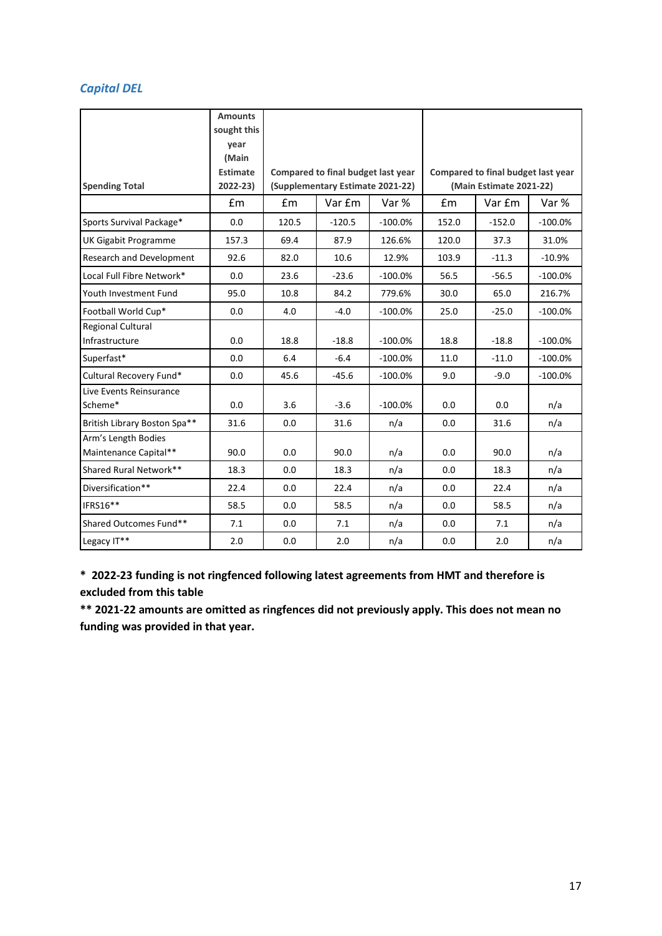### *Capital DEL*

|                                              | <b>Amounts</b><br>sought this<br>vear<br>(Main |       |                                    |           |       |                                    |            |  |
|----------------------------------------------|------------------------------------------------|-------|------------------------------------|-----------|-------|------------------------------------|------------|--|
|                                              | <b>Estimate</b>                                |       | Compared to final budget last year |           |       | Compared to final budget last year |            |  |
| <b>Spending Total</b>                        | 2022-23)                                       |       | (Supplementary Estimate 2021-22)   |           |       | (Main Estimate 2021-22)            |            |  |
|                                              | Em                                             | £m    | Var £m                             | Var %     | £m    | Var £m                             | Var %      |  |
| Sports Survival Package*                     | 0.0                                            | 120.5 | $-120.5$                           | $-100.0%$ | 152.0 | $-152.0$                           | $-100.0%$  |  |
| UK Gigabit Programme                         | 157.3                                          | 69.4  | 87.9                               | 126.6%    | 120.0 | 37.3                               | 31.0%      |  |
| Research and Development                     | 92.6                                           | 82.0  | 10.6                               | 12.9%     | 103.9 | $-11.3$                            | $-10.9%$   |  |
| Local Full Fibre Network*                    | 0.0                                            | 23.6  | $-23.6$                            | $-100.0%$ | 56.5  | $-56.5$                            | $-100.0%$  |  |
| Youth Investment Fund                        | 95.0                                           | 10.8  | 84.2                               | 779.6%    | 30.0  | 65.0                               | 216.7%     |  |
| Football World Cup*                          | 0.0                                            | 4.0   | $-4.0$                             | $-100.0%$ | 25.0  | $-25.0$                            | $-100.0%$  |  |
| <b>Regional Cultural</b><br>Infrastructure   | 0.0                                            | 18.8  | $-18.8$                            | $-100.0%$ | 18.8  | $-18.8$                            | $-100.0\%$ |  |
| Superfast*                                   | 0.0                                            | 6.4   | $-6.4$                             | $-100.0%$ | 11.0  | $-11.0$                            | $-100.0%$  |  |
| Cultural Recovery Fund*                      | 0.0                                            | 45.6  | $-45.6$                            | $-100.0%$ | 9.0   | $-9.0$                             | $-100.0%$  |  |
| Live Events Reinsurance<br>Scheme*           | 0.0                                            | 3.6   | $-3.6$                             | $-100.0%$ | 0.0   | 0.0                                | n/a        |  |
| British Library Boston Spa**                 | 31.6                                           | 0.0   | 31.6                               | n/a       | 0.0   | 31.6                               | n/a        |  |
| Arm's Length Bodies<br>Maintenance Capital** | 90.0                                           | 0.0   | 90.0                               | n/a       | 0.0   | 90.0                               | n/a        |  |
| Shared Rural Network**                       | 18.3                                           | 0.0   | 18.3                               | n/a       | 0.0   | 18.3                               | n/a        |  |
| Diversification**                            | 22.4                                           | 0.0   | 22.4                               | n/a       | 0.0   | 22.4                               | n/a        |  |
| IFRS16**                                     | 58.5                                           | 0.0   | 58.5                               | n/a       | 0.0   | 58.5                               | n/a        |  |
| Shared Outcomes Fund**                       | 7.1                                            | 0.0   | 7.1                                | n/a       | 0.0   | 7.1                                | n/a        |  |
| Legacy IT**                                  | 2.0                                            | 0.0   | 2.0                                | n/a       | 0.0   | 2.0                                | n/a        |  |

**\* 2022-23 funding is not ringfenced following latest agreements from HMT and therefore is excluded from this table**

**\*\* 2021-22 amounts are omitted as ringfences did not previously apply. This does not mean no funding was provided in that year.**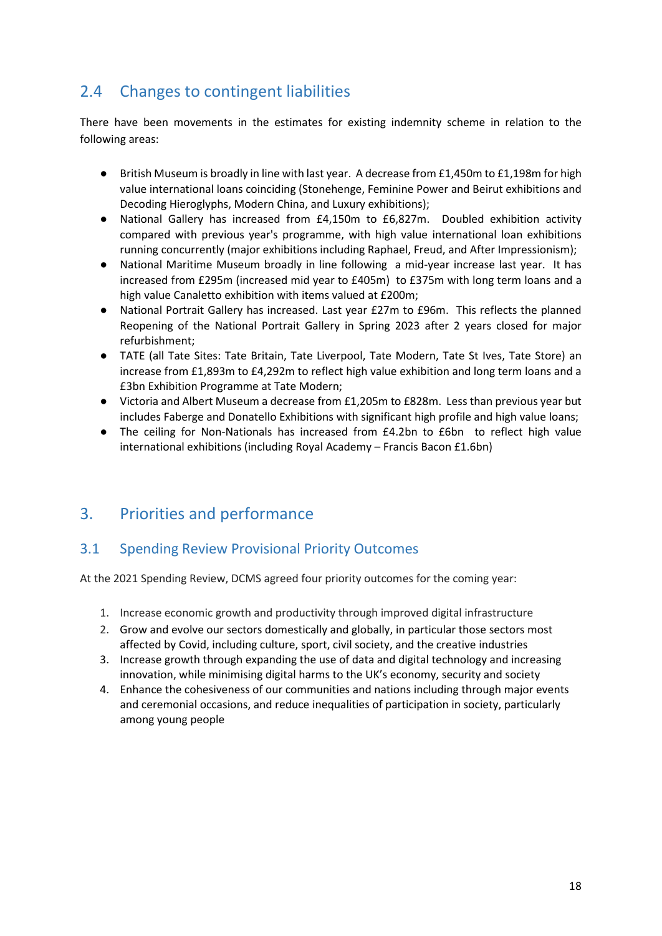# 2.4 Changes to contingent liabilities

There have been movements in the estimates for existing indemnity scheme in relation to the following areas:

- British Museum is broadly in line with last year. A decrease from £1,450m to £1,198m for high value international loans coinciding (Stonehenge, Feminine Power and Beirut exhibitions and Decoding Hieroglyphs, Modern China, and Luxury exhibitions);
- National Gallery has increased from £4,150m to £6,827m. Doubled exhibition activity compared with previous year's programme, with high value international loan exhibitions running concurrently (major exhibitions including Raphael, Freud, and After Impressionism);
- National Maritime Museum broadly in line following a mid-year increase last year. It has increased from £295m (increased mid year to £405m) to £375m with long term loans and a high value Canaletto exhibition with items valued at £200m;
- National Portrait Gallery has increased. Last year £27m to £96m. This reflects the planned Reopening of the National Portrait Gallery in Spring 2023 after 2 years closed for major refurbishment;
- TATE (all Tate Sites: Tate Britain, Tate Liverpool, Tate Modern, Tate St Ives, Tate Store) an increase from £1,893m to £4,292m to reflect high value exhibition and long term loans and a £3bn Exhibition Programme at Tate Modern;
- Victoria and Albert Museum a decrease from £1,205m to £828m. Less than previous year but includes Faberge and Donatello Exhibitions with significant high profile and high value loans;
- The ceiling for Non-Nationals has increased from £4.2bn to £6bn to reflect high value international exhibitions (including Royal Academy – Francis Bacon £1.6bn)

## 3. Priorities and performance

### 3.1 Spending Review Provisional Priority Outcomes

At the 2021 Spending Review, DCMS agreed four priority outcomes for the coming year:

- 1. Increase economic growth and productivity through improved digital infrastructure
- 2. Grow and evolve our sectors domestically and globally, in particular those sectors most affected by Covid, including culture, sport, civil society, and the creative industries
- 3. Increase growth through expanding the use of data and digital technology and increasing innovation, while minimising digital harms to the UK's economy, security and society
- 4. Enhance the cohesiveness of our communities and nations including through major events and ceremonial occasions, and reduce inequalities of participation in society, particularly among young people